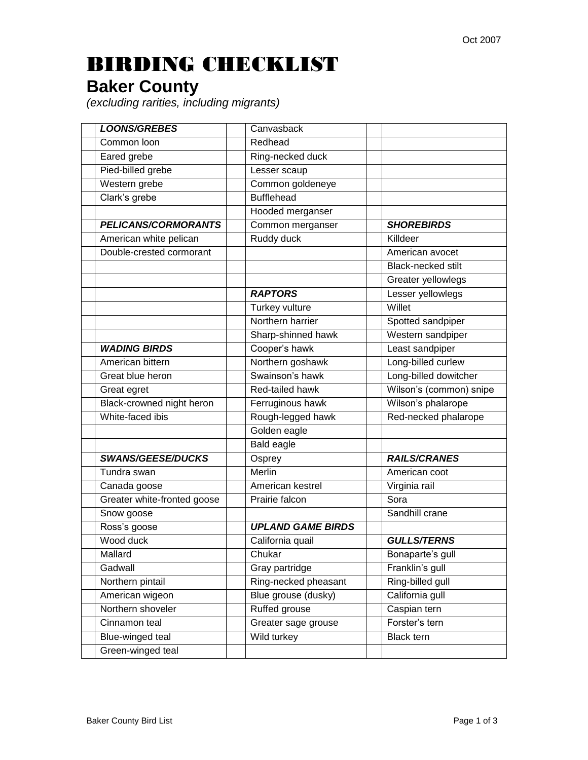## BIRDING CHECKLIST

## **Baker County**

*(excluding rarities, including migrants)*

| <b>LOONS/GREBES</b>         | Canvasback               |                           |
|-----------------------------|--------------------------|---------------------------|
| Common loon                 | Redhead                  |                           |
| Eared grebe                 | Ring-necked duck         |                           |
| Pied-billed grebe           | Lesser scaup             |                           |
| Western grebe               | Common goldeneye         |                           |
| Clark's grebe               | <b>Bufflehead</b>        |                           |
|                             | Hooded merganser         |                           |
| <b>PELICANS/CORMORANTS</b>  | Common merganser         | <b>SHOREBIRDS</b>         |
| American white pelican      | Ruddy duck               | Killdeer                  |
| Double-crested cormorant    |                          | American avocet           |
|                             |                          | <b>Black-necked stilt</b> |
|                             |                          | Greater yellowlegs        |
|                             | <b>RAPTORS</b>           | Lesser yellowlegs         |
|                             | Turkey vulture           | Willet                    |
|                             | Northern harrier         | Spotted sandpiper         |
|                             | Sharp-shinned hawk       | Western sandpiper         |
| <b>WADING BIRDS</b>         | Cooper's hawk            | Least sandpiper           |
| American bittern            | Northern goshawk         | Long-billed curlew        |
| Great blue heron            | Swainson's hawk          | Long-billed dowitcher     |
| Great egret                 | Red-tailed hawk          | Wilson's (common) snipe   |
| Black-crowned night heron   | Ferruginous hawk         | Wilson's phalarope        |
| White-faced ibis            | Rough-legged hawk        | Red-necked phalarope      |
|                             | Golden eagle             |                           |
|                             | <b>Bald eagle</b>        |                           |
| <b>SWANS/GEESE/DUCKS</b>    | Osprey                   | <b>RAILS/CRANES</b>       |
| Tundra swan                 | <b>Merlin</b>            | American coot             |
| Canada goose                | American kestrel         | Virginia rail             |
| Greater white-fronted goose | Prairie falcon           | Sora                      |
| Snow goose                  |                          | Sandhill crane            |
| Ross's goose                | <b>UPLAND GAME BIRDS</b> |                           |
| Wood duck                   | California quail         | <b>GULLS/TERNS</b>        |
| Mallard                     | Chukar                   | Bonaparte's gull          |
| Gadwall                     | Gray partridge           | Franklin's gull           |
| Northern pintail            | Ring-necked pheasant     | Ring-billed gull          |
| American wigeon             | Blue grouse (dusky)      | California gull           |
| Northern shoveler           | Ruffed grouse            | Caspian tern              |
| Cinnamon teal               | Greater sage grouse      | Forster's tern            |
| Blue-winged teal            | Wild turkey              | <b>Black tern</b>         |
| Green-winged teal           |                          |                           |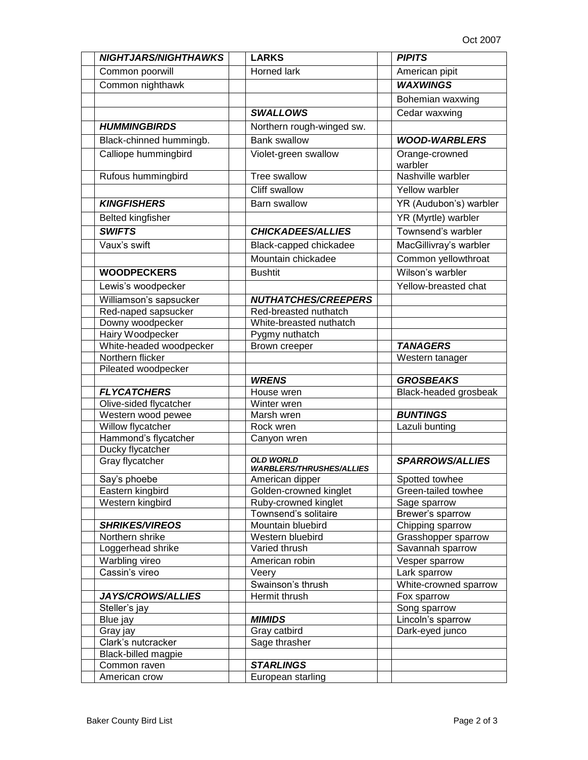| <b>NIGHTJARS/NIGHTHAWKS</b>                 | <b>LARKS</b>                                        | <b>PIPITS</b>                        |
|---------------------------------------------|-----------------------------------------------------|--------------------------------------|
| Common poorwill                             | <b>Horned lark</b>                                  | American pipit                       |
| Common nighthawk                            |                                                     | <b>WAXWINGS</b>                      |
|                                             |                                                     | Bohemian waxwing                     |
|                                             | <b>SWALLOWS</b>                                     | Cedar waxwing                        |
| <b>HUMMINGBIRDS</b>                         | Northern rough-winged sw.                           |                                      |
| Black-chinned hummingb.                     | <b>Bank swallow</b>                                 | <b>WOOD-WARBLERS</b>                 |
| Calliope hummingbird                        | Violet-green swallow                                | Orange-crowned                       |
|                                             |                                                     | warbler                              |
| Rufous hummingbird                          | Tree swallow                                        | Nashville warbler                    |
|                                             | Cliff swallow                                       | Yellow warbler                       |
| <b>KINGFISHERS</b>                          | <b>Barn swallow</b>                                 | YR (Audubon's) warbler               |
| <b>Belted kingfisher</b>                    |                                                     | YR (Myrtle) warbler                  |
| <b>SWIFTS</b>                               | <b>CHICKADEES/ALLIES</b>                            | Townsend's warbler                   |
| Vaux's swift                                | Black-capped chickadee                              | MacGillivray's warbler               |
|                                             | Mountain chickadee                                  |                                      |
|                                             |                                                     | Common yellowthroat                  |
| <b>WOODPECKERS</b>                          | <b>Bushtit</b>                                      | Wilson's warbler                     |
| Lewis's woodpecker                          |                                                     | Yellow-breasted chat                 |
| Williamson's sapsucker                      | <b>NUTHATCHES/CREEPERS</b>                          |                                      |
| Red-naped sapsucker                         | Red-breasted nuthatch                               |                                      |
| Downy woodpecker                            | White-breasted nuthatch                             |                                      |
| Hairy Woodpecker                            | Pygmy nuthatch                                      |                                      |
| White-headed woodpecker<br>Northern flicker | Brown creeper                                       | <b>TANAGERS</b><br>Western tanager   |
| Pileated woodpecker                         |                                                     |                                      |
|                                             | <b>WRENS</b>                                        | <b>GROSBEAKS</b>                     |
| <b>FLYCATCHERS</b>                          | House wren                                          | Black-headed grosbeak                |
| Olive-sided flycatcher                      | Winter wren                                         |                                      |
| Western wood pewee                          | Marsh wren                                          | <b>BUNTINGS</b>                      |
| Willow flycatcher                           | Rock wren                                           | Lazuli bunting                       |
| Hammond's flycatcher                        | Canyon wren                                         |                                      |
| Ducky flycatcher                            |                                                     |                                      |
| Gray flycatcher                             | <b>OLD WORLD</b><br><b>WARBLERS/THRUSHES/ALLIES</b> | <b>SPARROWS/ALLIES</b>               |
| Say's phoebe                                | American dipper                                     | Spotted towhee                       |
| Eastern kingbird                            | Golden-crowned kinglet                              | Green-tailed towhee                  |
| Western kingbird                            | Ruby-crowned kinglet                                | Sage sparrow                         |
|                                             | Townsend's solitaire                                | Brewer's sparrow                     |
| <b>SHRIKES/VIREOS</b>                       | Mountain bluebird                                   | Chipping sparrow                     |
| Northern shrike                             | Western bluebird                                    | Grasshopper sparrow                  |
| Loggerhead shrike                           | Varied thrush                                       | Savannah sparrow                     |
| Warbling vireo<br>Cassin's vireo            | American robin                                      | Vesper sparrow                       |
|                                             | Veery                                               | Lark sparrow                         |
| JAYS/CROWS/ALLIES                           | Swainson's thrush<br>Hermit thrush                  | White-crowned sparrow<br>Fox sparrow |
| Steller's jay                               |                                                     | Song sparrow                         |
| Blue jay                                    | <b>MIMIDS</b>                                       | Lincoln's sparrow                    |
| Gray jay                                    | Gray catbird                                        | Dark-eyed junco                      |
| Clark's nutcracker                          | Sage thrasher                                       |                                      |
| <b>Black-billed magpie</b>                  |                                                     |                                      |
| Common raven                                | <b>STARLINGS</b>                                    |                                      |
| American crow                               | European starling                                   |                                      |